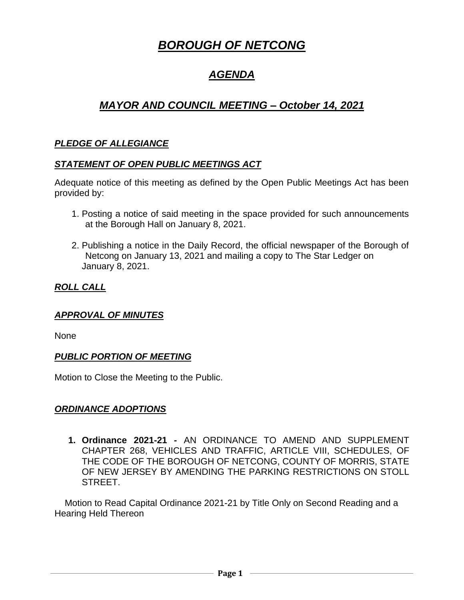# *BOROUGH OF NETCONG*

## *AGENDA*

## *MAYOR AND COUNCIL MEETING – October 14, 2021*

## *PLEDGE OF ALLEGIANCE*

#### *STATEMENT OF OPEN PUBLIC MEETINGS ACT*

Adequate notice of this meeting as defined by the Open Public Meetings Act has been provided by:

- 1. Posting a notice of said meeting in the space provided for such announcements at the Borough Hall on January 8, 2021.
- 2. Publishing a notice in the Daily Record, the official newspaper of the Borough of Netcong on January 13, 2021 and mailing a copy to The Star Ledger on January 8, 2021.

### *ROLL CALL*

#### *APPROVAL OF MINUTES*

None

#### *PUBLIC PORTION OF MEETING*

Motion to Close the Meeting to the Public.

### *ORDINANCE ADOPTIONS*

**1. Ordinance 2021-21** *-* AN ORDINANCE TO AMEND AND SUPPLEMENT CHAPTER 268, VEHICLES AND TRAFFIC, ARTICLE VIII, SCHEDULES, OF THE CODE OF THE BOROUGH OF NETCONG, COUNTY OF MORRIS, STATE OF NEW JERSEY BY AMENDING THE PARKING RESTRICTIONS ON STOLL STREET.

 Motion to Read Capital Ordinance 2021-21 by Title Only on Second Reading and a Hearing Held Thereon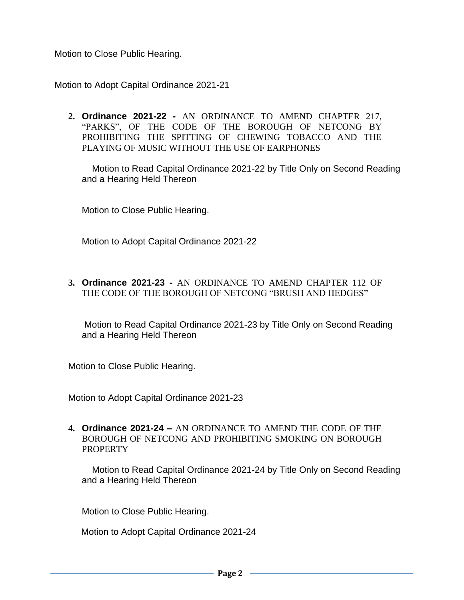Motion to Close Public Hearing.

Motion to Adopt Capital Ordinance 2021-21

**2. Ordinance 2021-22** *-* AN ORDINANCE TO AMEND CHAPTER 217, "PARKS", OF THE CODE OF THE BOROUGH OF NETCONG BY PROHIBITING THE SPITTING OF CHEWING TOBACCO AND THE PLAYING OF MUSIC WITHOUT THE USE OF EARPHONES

 Motion to Read Capital Ordinance 2021-22 by Title Only on Second Reading and a Hearing Held Thereon

Motion to Close Public Hearing.

Motion to Adopt Capital Ordinance 2021-22

**3. Ordinance 2021-23** *-* AN ORDINANCE TO AMEND CHAPTER 112 OF THE CODE OF THE BOROUGH OF NETCONG "BRUSH AND HEDGES"

Motion to Read Capital Ordinance 2021-23 by Title Only on Second Reading and a Hearing Held Thereon

Motion to Close Public Hearing.

Motion to Adopt Capital Ordinance 2021-23

**4. Ordinance 2021-24** *–* AN ORDINANCE TO AMEND THE CODE OF THE BOROUGH OF NETCONG AND PROHIBITING SMOKING ON BOROUGH PROPERTY

 Motion to Read Capital Ordinance 2021-24 by Title Only on Second Reading and a Hearing Held Thereon

Motion to Close Public Hearing.

Motion to Adopt Capital Ordinance 2021-24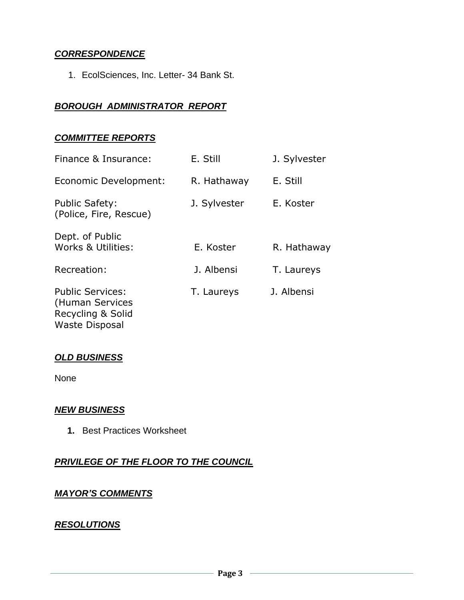## *CORRESPONDENCE*

1. EcolSciences, Inc. Letter- 34 Bank St.

#### *BOROUGH ADMINISTRATOR REPORT*

#### *COMMITTEE REPORTS*

| Finance & Insurance:                                            | E. Still     | J. Sylvester |
|-----------------------------------------------------------------|--------------|--------------|
| Economic Development:                                           | R. Hathaway  | E. Still     |
| <b>Public Safety:</b><br>(Police, Fire, Rescue)                 | J. Sylvester | E. Koster    |
| Dept. of Public<br>Works & Utilities:                           | E. Koster    | R. Hathaway  |
| Recreation:                                                     | J. Albensi   | T. Laureys   |
| <b>Public Services:</b><br>(Human Services<br>Recycling & Solid | T. Laureys   | J. Albensi   |

## *OLD BUSINESS*

Waste Disposal

None

#### *NEW BUSINESS*

 **1.** Best Practices Worksheet

### *PRIVILEGE OF THE FLOOR TO THE COUNCIL*

#### *MAYOR'S COMMENTS*

#### *RESOLUTIONS*